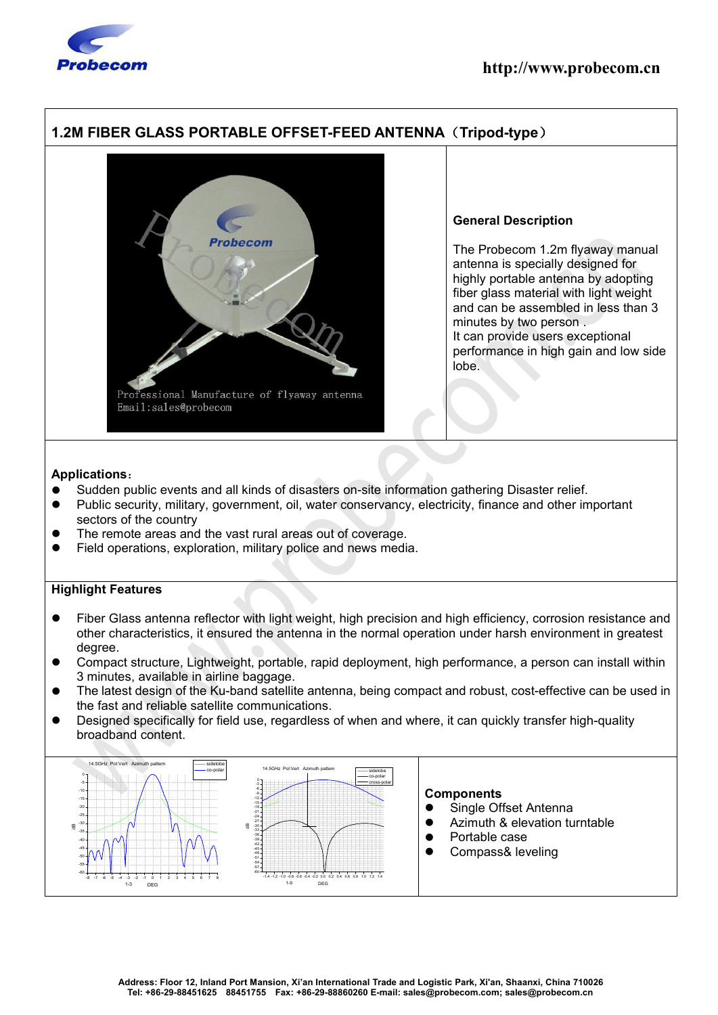

## **1.2M FIBER GLASS PORTABLE OFFSET-FEED ANTENNA**(**Tripod-type**)



#### **General Description**

The Probecom 1.2m flyaway manual antenna is specially designed for highly portable antenna by adopting fiber glass material with light weight and can be assembled in less than 3 minutes by two person . It can provide users exceptional performance in high gain and low side lobe.

#### **Applications**:

- Sudden public events and all kinds of disasters on-site information gathering Disaster relief.
- Public security, military, government, oil, water conservancy, electricity, finance and other important sectors of the country
- The remote areas and the vast rural areas out of coverage.
- Field operations, exploration, military police and news media.

### **Highlight Features**

- Fiber Glass antenna reflector with light weight, high precision and high efficiency, corrosion resistance and other characteristics, it ensured the antenna in the normal operation under harsh environment in greatest degree.
- Compact structure, Lightweight, portable, rapid deployment, high performance, a person can install within 3 minutes, available in airline baggage.
- The latest design of the Ku-band satellite antenna, being compact and robust, cost-effective can be used in the fast and reliable satellite communications.
- Designed specifically for field use, regardless of when and where, it can quickly transfer high-quality broadband content.